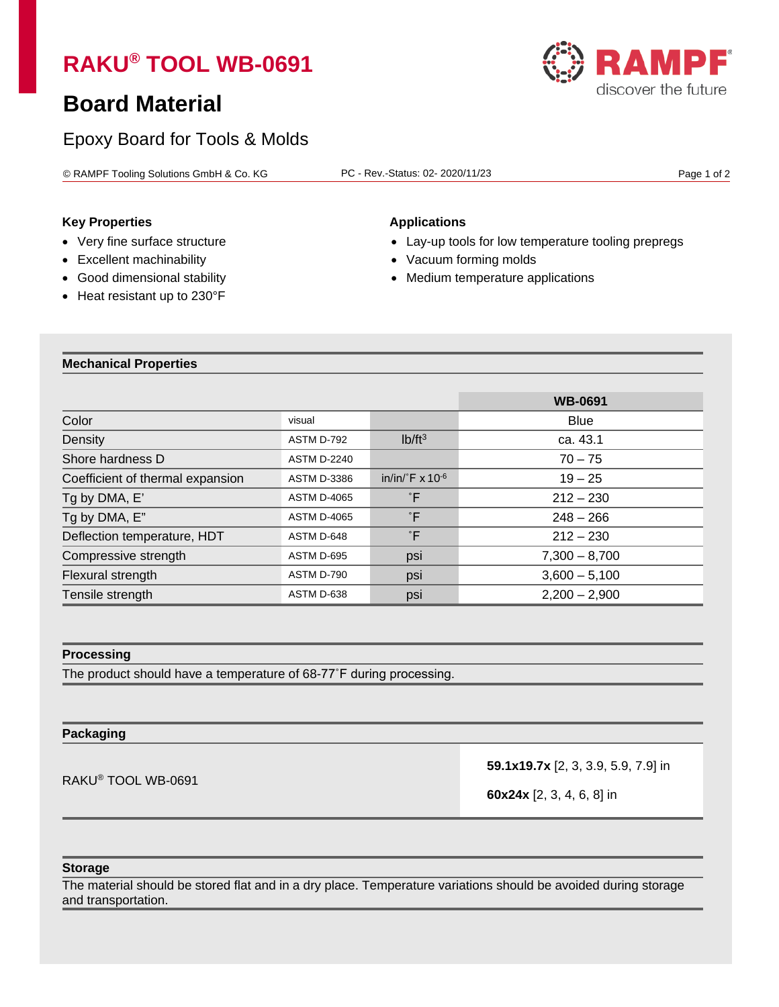# **RAKU® TOOL WB-0691**

## **Board Material**

## Epoxy Board for Tools & Molds

© RAMPF Tooling Solutions GmbH & Co. KG PC - Rev.-Status: 02- 2020/11/23 Page 1 of 2

### **Key Properties Applications**

- 
- 
- 
- Heat resistant up to 230°F

- Very fine surface structure Lay-up tools for low temperature tooling prepregs
- Excellent machinability **•** Vacuum forming molds
- Good dimensional stability  $\bullet$  Medium temperature applications

#### **Mechanical Properties**

|                                  |                    |                                   | <b>WB-0691</b>  |
|----------------------------------|--------------------|-----------------------------------|-----------------|
| Color                            | visual             |                                   | <b>Blue</b>     |
| Density                          | ASTM D-792         | Ib/ft <sup>3</sup>                | ca. 43.1        |
| Shore hardness D                 | <b>ASTM D-2240</b> |                                   | $70 - 75$       |
| Coefficient of thermal expansion | <b>ASTM D-3386</b> | in/in/ $\degree$ F x 10 $\degree$ | $19 - 25$       |
| Tg by DMA, E'                    | <b>ASTM D-4065</b> | °F                                | $212 - 230$     |
| Tg by DMA, E"                    | <b>ASTM D-4065</b> | °F                                | $248 - 266$     |
| Deflection temperature, HDT      | ASTM D-648         | °F                                | $212 - 230$     |
| Compressive strength             | ASTM D-695         | psi                               | $7,300 - 8,700$ |
| Flexural strength                | ASTM D-790         | psi                               | $3,600 - 5,100$ |
| Tensile strength                 | ASTM D-638         | psi                               | $2,200 - 2,900$ |

#### **Processing**

The product should have a temperature of 68-77˚F during processing.

#### **Packaging**

RAKU® TOOL WB-0691

**59.1x19.7x** [2, 3, 3.9, 5.9, 7.9] in

**60x24x** [2, 3, 4, 6, 8] in

#### **Storage**

The material should be stored flat and in a dry place. Temperature variations should be avoided during storage and transportation.